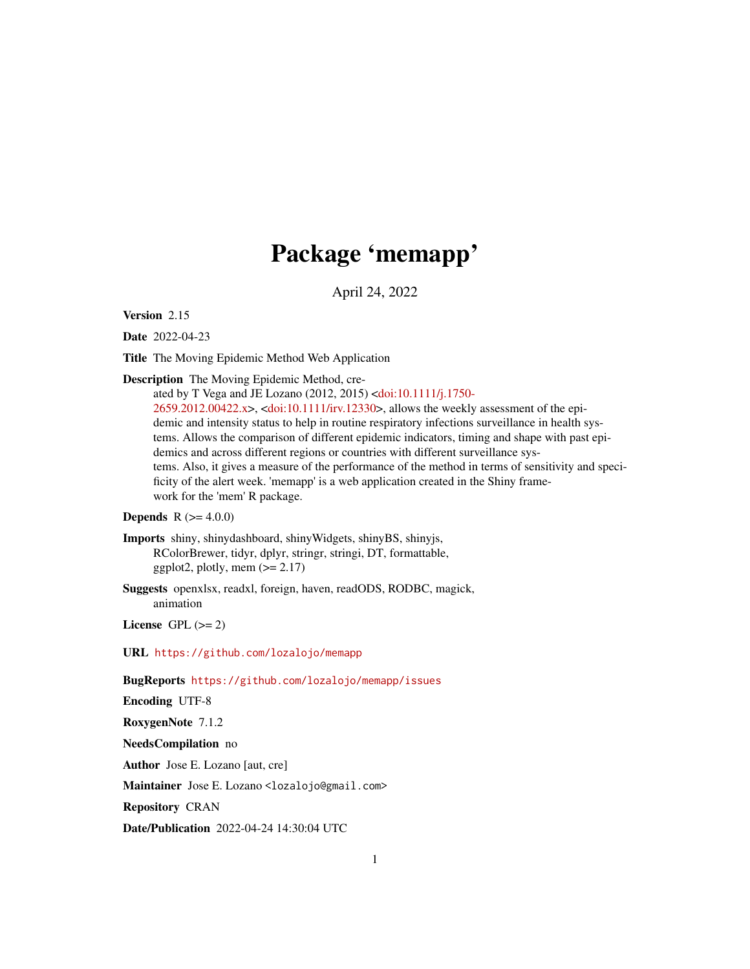## Package 'memapp'

April 24, 2022

Version 2.15

Date 2022-04-23

Title The Moving Epidemic Method Web Application

Description The Moving Epidemic Method, cre-

ated by T Vega and JE Lozano (2012, 2015) [<doi:10.1111/j.1750-](https://doi.org/10.1111/j.1750-2659.2012.00422.x) [2659.2012.00422.x>](https://doi.org/10.1111/j.1750-2659.2012.00422.x), [<doi:10.1111/irv.12330>](https://doi.org/10.1111/irv.12330), allows the weekly assessment of the epidemic and intensity status to help in routine respiratory infections surveillance in health systems. Allows the comparison of different epidemic indicators, timing and shape with past epidemics and across different regions or countries with different surveillance systems. Also, it gives a measure of the performance of the method in terms of sensitivity and specificity of the alert week. 'memapp' is a web application created in the Shiny framework for the 'mem' R package.

### **Depends**  $R (= 4.0.0)$

Imports shiny, shinydashboard, shinyWidgets, shinyBS, shinyjs, RColorBrewer, tidyr, dplyr, stringr, stringi, DT, formattable, ggplot2, plotly, mem  $(>= 2.17)$ 

Suggests openxlsx, readxl, foreign, haven, readODS, RODBC, magick, animation

License GPL  $(>= 2)$ 

URL <https://github.com/lozalojo/memapp>

BugReports <https://github.com/lozalojo/memapp/issues>

Encoding UTF-8

RoxygenNote 7.1.2

NeedsCompilation no

Author Jose E. Lozano [aut, cre]

Maintainer Jose E. Lozano <lozalojo@gmail.com>

Repository CRAN

Date/Publication 2022-04-24 14:30:04 UTC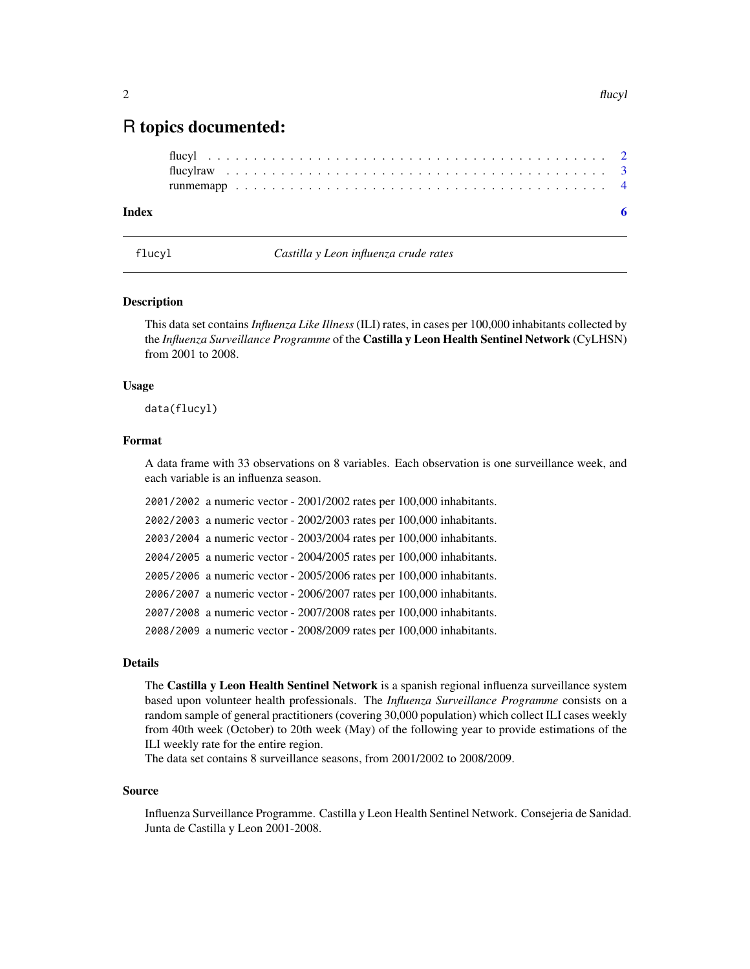## <span id="page-1-0"></span>R topics documented:

| Index |  |  |  |  |  |  |  |  |  |  |  |  |  |  |  |  |  |  |
|-------|--|--|--|--|--|--|--|--|--|--|--|--|--|--|--|--|--|--|
|       |  |  |  |  |  |  |  |  |  |  |  |  |  |  |  |  |  |  |
|       |  |  |  |  |  |  |  |  |  |  |  |  |  |  |  |  |  |  |
|       |  |  |  |  |  |  |  |  |  |  |  |  |  |  |  |  |  |  |

flucyl *Castilla y Leon influenza crude rates*

#### Description

This data set contains *Influenza Like Illness* (ILI) rates, in cases per 100,000 inhabitants collected by the *Influenza Surveillance Programme* of the Castilla y Leon Health Sentinel Network (CyLHSN) from 2001 to 2008.

#### Usage

data(flucyl)

#### Format

A data frame with 33 observations on 8 variables. Each observation is one surveillance week, and each variable is an influenza season.

2001/2002 a numeric vector - 2001/2002 rates per 100,000 inhabitants. 2002/2003 a numeric vector - 2002/2003 rates per 100,000 inhabitants. 2003/2004 a numeric vector - 2003/2004 rates per 100,000 inhabitants. 2004/2005 a numeric vector - 2004/2005 rates per 100,000 inhabitants. 2005/2006 a numeric vector - 2005/2006 rates per 100,000 inhabitants. 2006/2007 a numeric vector - 2006/2007 rates per 100,000 inhabitants. 2007/2008 a numeric vector - 2007/2008 rates per 100,000 inhabitants. 2008/2009 a numeric vector - 2008/2009 rates per 100,000 inhabitants.

#### Details

The Castilla y Leon Health Sentinel Network is a spanish regional influenza surveillance system based upon volunteer health professionals. The *Influenza Surveillance Programme* consists on a random sample of general practitioners (covering 30,000 population) which collect ILI cases weekly from 40th week (October) to 20th week (May) of the following year to provide estimations of the ILI weekly rate for the entire region.

The data set contains 8 surveillance seasons, from 2001/2002 to 2008/2009.

#### Source

Influenza Surveillance Programme. Castilla y Leon Health Sentinel Network. Consejeria de Sanidad. Junta de Castilla y Leon 2001-2008.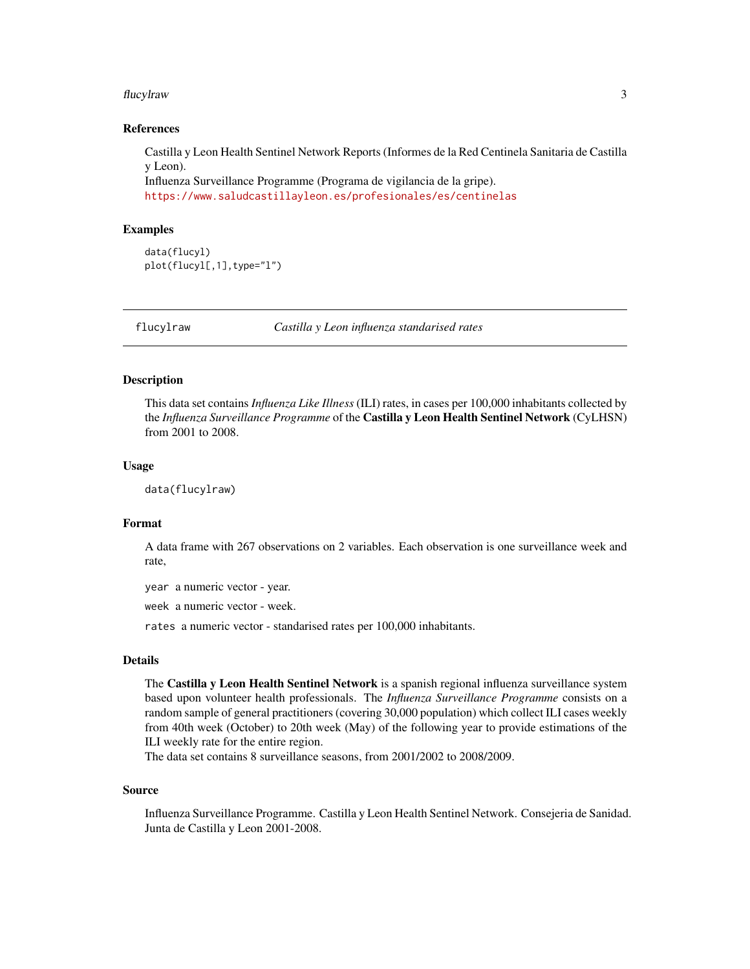#### <span id="page-2-0"></span>flucylraw 3

#### References

Castilla y Leon Health Sentinel Network Reports (Informes de la Red Centinela Sanitaria de Castilla y Leon).

Influenza Surveillance Programme (Programa de vigilancia de la gripe). <https://www.saludcastillayleon.es/profesionales/es/centinelas>

#### Examples

data(flucyl) plot(flucyl[,1],type="l")

flucylraw *Castilla y Leon influenza standarised rates*

#### Description

This data set contains *Influenza Like Illness* (ILI) rates, in cases per 100,000 inhabitants collected by the *Influenza Surveillance Programme* of the Castilla y Leon Health Sentinel Network (CyLHSN) from 2001 to 2008.

#### Usage

data(flucylraw)

#### Format

A data frame with 267 observations on 2 variables. Each observation is one surveillance week and rate,

year a numeric vector - year.

week a numeric vector - week.

rates a numeric vector - standarised rates per 100,000 inhabitants.

#### Details

The Castilla y Leon Health Sentinel Network is a spanish regional influenza surveillance system based upon volunteer health professionals. The *Influenza Surveillance Programme* consists on a random sample of general practitioners (covering 30,000 population) which collect ILI cases weekly from 40th week (October) to 20th week (May) of the following year to provide estimations of the ILI weekly rate for the entire region.

The data set contains 8 surveillance seasons, from 2001/2002 to 2008/2009.

#### Source

Influenza Surveillance Programme. Castilla y Leon Health Sentinel Network. Consejeria de Sanidad. Junta de Castilla y Leon 2001-2008.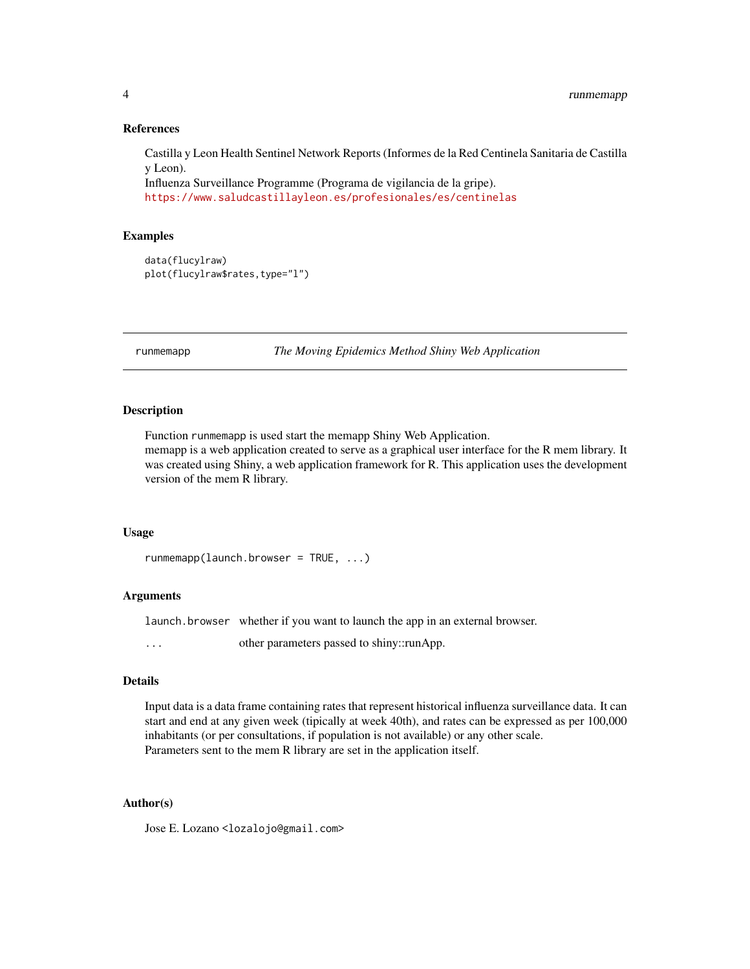#### <span id="page-3-0"></span>References

Castilla y Leon Health Sentinel Network Reports (Informes de la Red Centinela Sanitaria de Castilla y Leon).

```
Influenza Surveillance Programme (Programa de vigilancia de la gripe).
https://www.saludcastillayleon.es/profesionales/es/centinelas
```
#### Examples

```
data(flucylraw)
plot(flucylraw$rates,type="l")
```
runmemapp *The Moving Epidemics Method Shiny Web Application*

#### Description

Function runmemapp is used start the memapp Shiny Web Application.

memapp is a web application created to serve as a graphical user interface for the R mem library. It was created using Shiny, a web application framework for R. This application uses the development version of the mem R library.

#### Usage

```
runmemapp(launch.browser = TRUE, \ldots)
```
### Arguments

launch.browser whether if you want to launch the app in an external browser.

... other parameters passed to shiny::runApp.

#### Details

Input data is a data frame containing rates that represent historical influenza surveillance data. It can start and end at any given week (tipically at week 40th), and rates can be expressed as per 100,000 inhabitants (or per consultations, if population is not available) or any other scale. Parameters sent to the mem R library are set in the application itself.

#### Author(s)

Jose E. Lozano <lozalojo@gmail.com>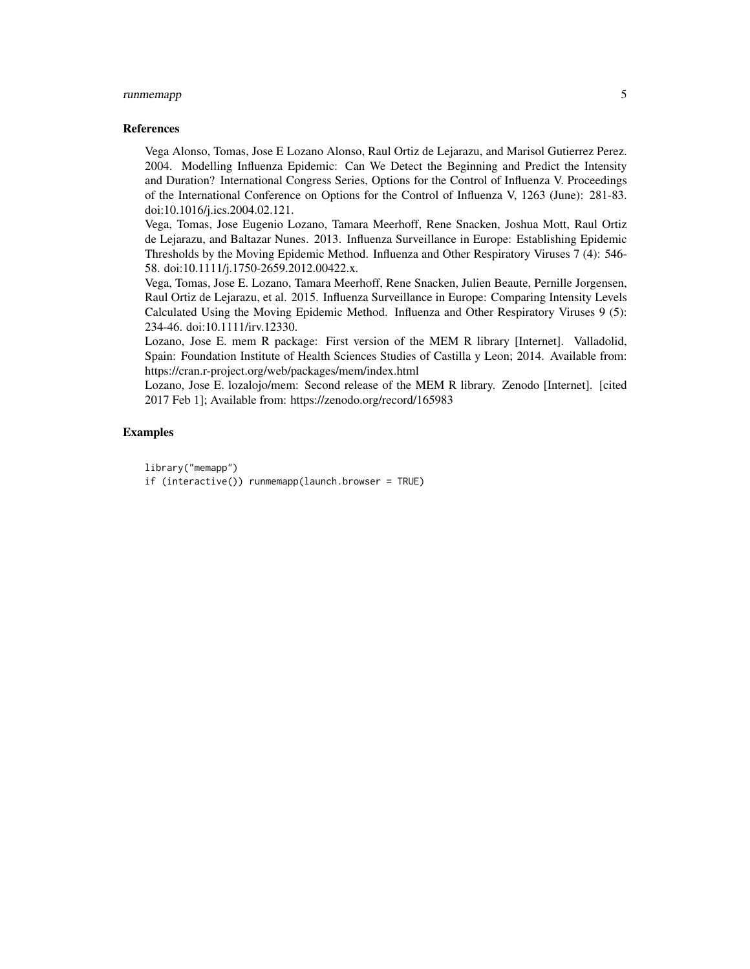#### runmemapp 5

#### References

Vega Alonso, Tomas, Jose E Lozano Alonso, Raul Ortiz de Lejarazu, and Marisol Gutierrez Perez. 2004. Modelling Influenza Epidemic: Can We Detect the Beginning and Predict the Intensity and Duration? International Congress Series, Options for the Control of Influenza V. Proceedings of the International Conference on Options for the Control of Influenza V, 1263 (June): 281-83. doi:10.1016/j.ics.2004.02.121.

Vega, Tomas, Jose Eugenio Lozano, Tamara Meerhoff, Rene Snacken, Joshua Mott, Raul Ortiz de Lejarazu, and Baltazar Nunes. 2013. Influenza Surveillance in Europe: Establishing Epidemic Thresholds by the Moving Epidemic Method. Influenza and Other Respiratory Viruses 7 (4): 546- 58. doi:10.1111/j.1750-2659.2012.00422.x.

Vega, Tomas, Jose E. Lozano, Tamara Meerhoff, Rene Snacken, Julien Beaute, Pernille Jorgensen, Raul Ortiz de Lejarazu, et al. 2015. Influenza Surveillance in Europe: Comparing Intensity Levels Calculated Using the Moving Epidemic Method. Influenza and Other Respiratory Viruses 9 (5): 234-46. doi:10.1111/irv.12330.

Lozano, Jose E. mem R package: First version of the MEM R library [Internet]. Valladolid, Spain: Foundation Institute of Health Sciences Studies of Castilla y Leon; 2014. Available from: https://cran.r-project.org/web/packages/mem/index.html

Lozano, Jose E. lozalojo/mem: Second release of the MEM R library. Zenodo [Internet]. [cited 2017 Feb 1]; Available from: https://zenodo.org/record/165983

#### Examples

```
library("memapp")
```
if (interactive()) runmemapp(launch.browser = TRUE)